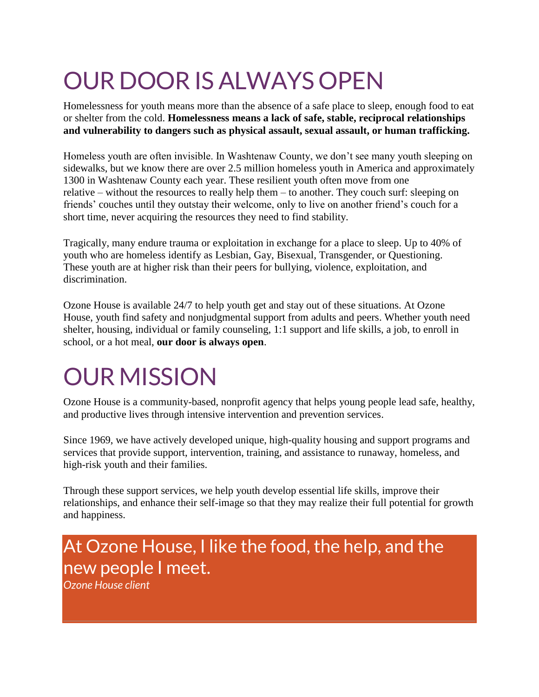# OUR DOOR IS ALWAYS OPEN

Homelessness for youth means more than the absence of a safe place to sleep, enough food to eat or shelter from the cold. **Homelessness means a lack of safe, stable, reciprocal relationships and vulnerability to dangers such as physical assault, sexual assault, or human trafficking.**

Homeless youth are often invisible. In Washtenaw County, we don't see many youth sleeping on sidewalks, but we know there are over 2.5 million homeless youth in America and approximately 1300 in Washtenaw County each year. These resilient youth often move from one relative – without the resources to really help them – to another. They couch surf: sleeping on friends' couches until they outstay their welcome, only to live on another friend's couch for a short time, never acquiring the resources they need to find stability.

Tragically, many endure trauma or exploitation in exchange for a place to sleep. Up to 40% of youth who are homeless identify as Lesbian, Gay, Bisexual, Transgender, or Questioning. These youth are at higher risk than their peers for bullying, violence, exploitation, and discrimination.

Ozone House is available 24/7 to help youth get and stay out of these situations. At Ozone House, youth find safety and nonjudgmental support from adults and peers. Whether youth need shelter, housing, individual or family counseling, 1:1 support and life skills, a job, to enroll in school, or a hot meal, **our door is always open**.

### OUR MISSION

Ozone House is a community-based, nonprofit agency that helps young people lead safe, healthy, and productive lives through intensive intervention and prevention services.

Since 1969, we have actively developed unique, high-quality housing and support programs and services that provide support, intervention, training, and assistance to runaway, homeless, and high-risk youth and their families.

Through these support services, we help youth develop essential life skills, improve their relationships, and enhance their self-image so that they may realize their full potential for growth and happiness.

### At Ozone House, I like the food, the help, and the new people I meet.

*Ozone House client*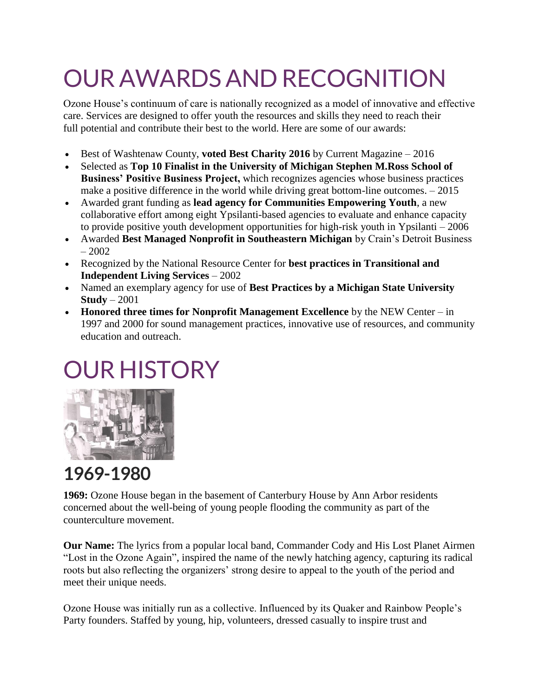# OUR AWARDS AND RECOGNITION

Ozone House's continuum of care is nationally recognized as a model of innovative and effective care. Services are designed to offer youth the resources and skills they need to reach their full potential and contribute their best to the world. Here are some of our awards:

- Best of Washtenaw County, **voted Best Charity 2016** by Current Magazine 2016
- Selected as **Top 10 Finalist in the University of Michigan Stephen M.Ross School of Business' Positive Business Project,** which recognizes agencies whose business practices make a positive difference in the world while driving great bottom-line outcomes. – 2015
- Awarded grant funding as **lead agency for Communities Empowering Youth**, a new collaborative effort among eight Ypsilanti-based agencies to evaluate and enhance capacity to provide positive youth development opportunities for high-risk youth in Ypsilanti – 2006
- Awarded **Best Managed Nonprofit in Southeastern Michigan** by Crain's Detroit Business – 2002
- Recognized by the National Resource Center for **best practices in Transitional and Independent Living Services** – 2002
- Named an exemplary agency for use of **Best Practices by a Michigan State University Study** – 2001
- **Honored three times for Nonprofit Management Excellence** by the NEW Center in 1997 and 2000 for sound management practices, innovative use of resources, and community education and outreach.

## OUR HISTORY



### **1969-1980**

**1969:** Ozone House began in the basement of Canterbury House by Ann Arbor residents concerned about the well-being of young people flooding the community as part of the counterculture movement.

**Our Name:** The lyrics from a popular local band, Commander Cody and His Lost Planet Airmen "Lost in the Ozone Again", inspired the name of the newly hatching agency, capturing its radical roots but also reflecting the organizers' strong desire to appeal to the youth of the period and meet their unique needs.

Ozone House was initially run as a collective. Influenced by its Quaker and Rainbow People's Party founders. Staffed by young, hip, volunteers, dressed casually to inspire trust and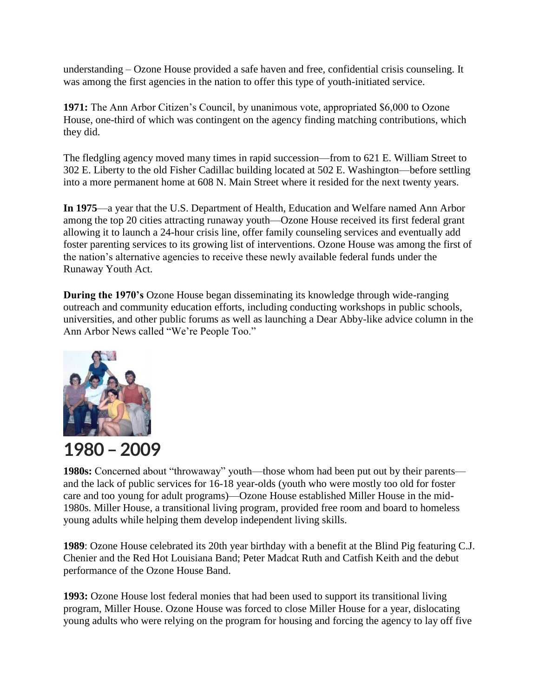understanding – Ozone House provided a safe haven and free, confidential crisis counseling. It was among the first agencies in the nation to offer this type of youth-initiated service.

**1971:** The Ann Arbor Citizen's Council, by unanimous vote, appropriated \$6,000 to Ozone House, one-third of which was contingent on the agency finding matching contributions, which they did.

The fledgling agency moved many times in rapid succession—from to 621 E. William Street to 302 E. Liberty to the old Fisher Cadillac building located at 502 E. Washington—before settling into a more permanent home at 608 N. Main Street where it resided for the next twenty years.

**In 1975**—a year that the U.S. Department of Health, Education and Welfare named Ann Arbor among the top 20 cities attracting runaway youth—Ozone House received its first federal grant allowing it to launch a 24-hour crisis line, offer family counseling services and eventually add foster parenting services to its growing list of interventions. Ozone House was among the first of the nation's alternative agencies to receive these newly available federal funds under the Runaway Youth Act.

**During the 1970's** Ozone House began disseminating its knowledge through wide-ranging outreach and community education efforts, including conducting workshops in public schools, universities, and other public forums as well as launching a Dear Abby-like advice column in the Ann Arbor News called "We're People Too."



#### **1980 – 2009**

**1980s:** Concerned about "throwaway" youth—those whom had been put out by their parents and the lack of public services for 16-18 year-olds (youth who were mostly too old for foster care and too young for adult programs)—Ozone House established Miller House in the mid-1980s. Miller House, a transitional living program, provided free room and board to homeless young adults while helping them develop independent living skills.

**1989**: Ozone House celebrated its 20th year birthday with a benefit at the Blind Pig featuring C.J. Chenier and the Red Hot Louisiana Band; Peter Madcat Ruth and Catfish Keith and the debut performance of the Ozone House Band.

**1993:** Ozone House lost federal monies that had been used to support its transitional living program, Miller House. Ozone House was forced to close Miller House for a year, dislocating young adults who were relying on the program for housing and forcing the agency to lay off five